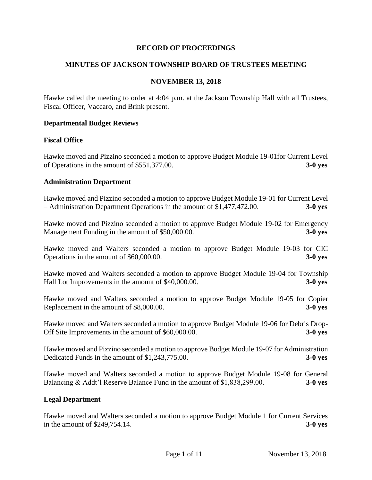## **RECORD OF PROCEEDINGS**

## **MINUTES OF JACKSON TOWNSHIP BOARD OF TRUSTEES MEETING**

### **NOVEMBER 13, 2018**

Hawke called the meeting to order at 4:04 p.m. at the Jackson Township Hall with all Trustees, Fiscal Officer, Vaccaro, and Brink present.

#### **Departmental Budget Reviews**

### **Fiscal Office**

Hawke moved and Pizzino seconded a motion to approve Budget Module 19-01for Current Level of Operations in the amount of \$551,377.00. **3-0 yes**

#### **Administration Department**

Hawke moved and Pizzino seconded a motion to approve Budget Module 19-01 for Current Level – Administration Department Operations in the amount of \$1,477,472.00. **3-0 yes**

Hawke moved and Pizzino seconded a motion to approve Budget Module 19-02 for Emergency Management Funding in the amount of \$50,000.00. **3-0 yes**

Hawke moved and Walters seconded a motion to approve Budget Module 19-03 for CIC Operations in the amount of \$60,000.00. **3-0 yes**

Hawke moved and Walters seconded a motion to approve Budget Module 19-04 for Township Hall Lot Improvements in the amount of \$40,000.00. **3-0 yes**

Hawke moved and Walters seconded a motion to approve Budget Module 19-05 for Copier Replacement in the amount of \$8,000.00. **3-0 yes**

Hawke moved and Walters seconded a motion to approve Budget Module 19-06 for Debris Drop-Off Site Improvements in the amount of \$60,000.00. **3-0 yes**

Hawke moved and Pizzino seconded a motion to approve Budget Module 19-07 for Administration Dedicated Funds in the amount of \$1,243,775.00. **3-0 yes**

Hawke moved and Walters seconded a motion to approve Budget Module 19-08 for General Balancing & Addt'l Reserve Balance Fund in the amount of \$1,838,299.00. **3-0 yes**

#### **Legal Department**

Hawke moved and Walters seconded a motion to approve Budget Module 1 for Current Services in the amount of \$249,754.14. **3-0 yes**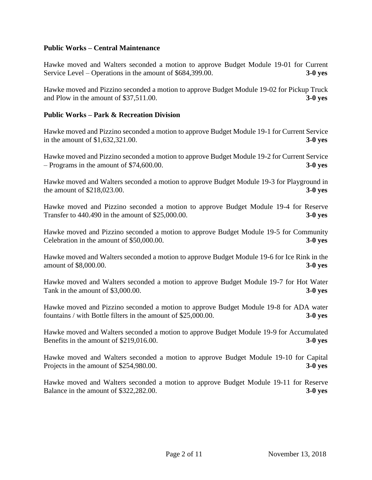## **Public Works – Central Maintenance**

Hawke moved and Walters seconded a motion to approve Budget Module 19-01 for Current Service Level – Operations in the amount of \$684,399.00. **3-0 yes**

Hawke moved and Pizzino seconded a motion to approve Budget Module 19-02 for Pickup Truck and Plow in the amount of \$37,511.00. **3-0 yes**

## **Public Works – Park & Recreation Division**

Hawke moved and Pizzino seconded a motion to approve Budget Module 19-1 for Current Service in the amount of \$1,632,321.00. **3-0 yes**

Hawke moved and Pizzino seconded a motion to approve Budget Module 19-2 for Current Service – Programs in the amount of \$74,600.00. **3-0 yes**

Hawke moved and Walters seconded a motion to approve Budget Module 19-3 for Playground in the amount of \$218,023.00. **3-0 yes**

Hawke moved and Pizzino seconded a motion to approve Budget Module 19-4 for Reserve Transfer to 440.490 in the amount of \$25,000.00. **3-0 yes**

Hawke moved and Pizzino seconded a motion to approve Budget Module 19-5 for Community Celebration in the amount of \$50,000.00. **3-0 yes**

Hawke moved and Walters seconded a motion to approve Budget Module 19-6 for Ice Rink in the amount of \$8,000.00. **3-0 yes**

Hawke moved and Walters seconded a motion to approve Budget Module 19-7 for Hot Water Tank in the amount of \$3,000.00. **3-0 yes**

Hawke moved and Pizzino seconded a motion to approve Budget Module 19-8 for ADA water fountains / with Bottle filters in the amount of \$25,000.00. **3-0 yes**

Hawke moved and Walters seconded a motion to approve Budget Module 19-9 for Accumulated Benefits in the amount of \$219,016.00. **3-0 yes**

Hawke moved and Walters seconded a motion to approve Budget Module 19-10 for Capital Projects in the amount of \$254,980.00. **3-0 yes**

Hawke moved and Walters seconded a motion to approve Budget Module 19-11 for Reserve Balance in the amount of \$322,282.00. **3-0 yes**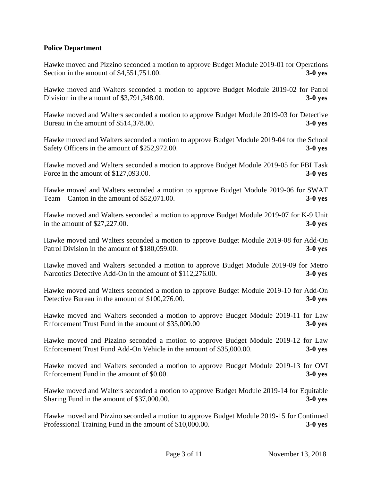# **Police Department**

Hawke moved and Pizzino seconded a motion to approve Budget Module 2019-01 for Operations Section in the amount of \$4,551,751.00. **3-0 yes**

Hawke moved and Walters seconded a motion to approve Budget Module 2019-02 for Patrol Division in the amount of \$3,791,348.00. **3-0 yes**

Hawke moved and Walters seconded a motion to approve Budget Module 2019-03 for Detective Bureau in the amount of \$514,378.00. **3-0 yes**

Hawke moved and Walters seconded a motion to approve Budget Module 2019-04 for the School Safety Officers in the amount of \$252,972.00. **3-0 yes**

Hawke moved and Walters seconded a motion to approve Budget Module 2019-05 for FBI Task Force in the amount of \$127,093.00. **3-0 yes**

Hawke moved and Walters seconded a motion to approve Budget Module 2019-06 for SWAT Team – Canton in the amount of \$52,071.00. **3-0 yes**

Hawke moved and Walters seconded a motion to approve Budget Module 2019-07 for K-9 Unit in the amount of \$27,227.00. **3-0 yes**

Hawke moved and Walters seconded a motion to approve Budget Module 2019-08 for Add-On Patrol Division in the amount of \$180,059.00. **3-0 yes**

Hawke moved and Walters seconded a motion to approve Budget Module 2019-09 for Metro Narcotics Detective Add-On in the amount of \$112,276.00. **3-0 yes**

Hawke moved and Walters seconded a motion to approve Budget Module 2019-10 for Add-On Detective Bureau in the amount of \$100,276.00. **3-0 yes**

Hawke moved and Walters seconded a motion to approve Budget Module 2019-11 for Law Enforcement Trust Fund in the amount of \$35,000.00 **3-0 yes**

Hawke moved and Pizzino seconded a motion to approve Budget Module 2019-12 for Law Enforcement Trust Fund Add-On Vehicle in the amount of \$35,000.00. **3-0 yes**

Hawke moved and Walters seconded a motion to approve Budget Module 2019-13 for OVI Enforcement Fund in the amount of \$0.00. **3-0 yes**

Hawke moved and Walters seconded a motion to approve Budget Module 2019-14 for Equitable Sharing Fund in the amount of \$37,000.00. **3-0 yes**

Hawke moved and Pizzino seconded a motion to approve Budget Module 2019-15 for Continued Professional Training Fund in the amount of \$10,000.00. **3-0 yes**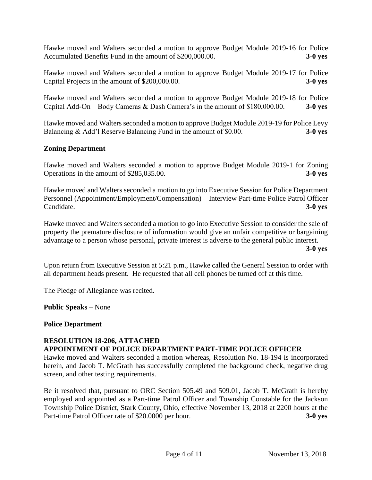Hawke moved and Walters seconded a motion to approve Budget Module 2019-16 for Police Accumulated Benefits Fund in the amount of \$200,000.00. **3-0 yes** 

Hawke moved and Walters seconded a motion to approve Budget Module 2019-17 for Police Capital Projects in the amount of \$200,000.00. **3-0 yes**

Hawke moved and Walters seconded a motion to approve Budget Module 2019-18 for Police Capital Add-On – Body Cameras & Dash Camera's in the amount of \$180,000.00. **3-0 yes**

Hawke moved and Walters seconded a motion to approve Budget Module 2019-19 for Police Levy Balancing & Add'l Reserve Balancing Fund in the amount of \$0.00. **3-0 yes**

# **Zoning Department**

Hawke moved and Walters seconded a motion to approve Budget Module 2019-1 for Zoning Operations in the amount of \$285,035.00. **3-0 yes**

Hawke moved and Walters seconded a motion to go into Executive Session for Police Department Personnel (Appointment/Employment/Compensation) – Interview Part-time Police Patrol Officer Candidate. **3-0 yes**

Hawke moved and Walters seconded a motion to go into Executive Session to consider the sale of property the premature disclosure of information would give an unfair competitive or bargaining advantage to a person whose personal, private interest is adverse to the general public interest.

**3-0 yes**

Upon return from Executive Session at 5:21 p.m., Hawke called the General Session to order with all department heads present. He requested that all cell phones be turned off at this time.

The Pledge of Allegiance was recited.

**Public Speaks** – None

### **Police Department**

# **RESOLUTION 18-206, ATTACHED**

### **APPOINTMENT OF POLICE DEPARTMENT PART-TIME POLICE OFFICER**

Hawke moved and Walters seconded a motion whereas, Resolution No. 18-194 is incorporated herein, and Jacob T. McGrath has successfully completed the background check, negative drug screen, and other testing requirements.

Be it resolved that, pursuant to ORC Section 505.49 and 509.01, Jacob T. McGrath is hereby employed and appointed as a Part-time Patrol Officer and Township Constable for the Jackson Township Police District, Stark County, Ohio, effective November 13, 2018 at 2200 hours at the Part-time Patrol Officer rate of \$20.0000 per hour. **3-0 yes**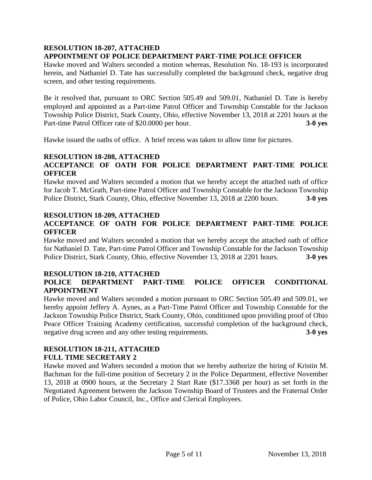## **RESOLUTION 18-207, ATTACHED APPOINTMENT OF POLICE DEPARTMENT PART-TIME POLICE OFFICER**

Hawke moved and Walters seconded a motion whereas, Resolution No. 18-193 is incorporated herein, and Nathaniel D. Tate has successfully completed the background check, negative drug screen, and other testing requirements.

Be it resolved that, pursuant to ORC Section 505.49 and 509.01, Nathaniel D. Tate is hereby employed and appointed as a Part-time Patrol Officer and Township Constable for the Jackson Township Police District, Stark County, Ohio, effective November 13, 2018 at 2201 hours at the Part-time Patrol Officer rate of \$20.0000 per hour. **3-0 yes**

Hawke issued the oaths of office. A brief recess was taken to allow time for pictures.

# **RESOLUTION 18-208, ATTACHED**

# **ACCEPTANCE OF OATH FOR POLICE DEPARTMENT PART-TIME POLICE OFFICER**

Hawke moved and Walters seconded a motion that we hereby accept the attached oath of office for Jacob T. McGrath, Part-time Patrol Officer and Township Constable for the Jackson Township Police District, Stark County, Ohio, effective November 13, 2018 at 2200 hours. **3-0 yes**

## **RESOLUTION 18-209, ATTACHED**

# **ACCEPTANCE OF OATH FOR POLICE DEPARTMENT PART-TIME POLICE OFFICER**

Hawke moved and Walters seconded a motion that we hereby accept the attached oath of office for Nathaniel D. Tate, Part-time Patrol Officer and Township Constable for the Jackson Township Police District, Stark County, Ohio, effective November 13, 2018 at 2201 hours. **3-0 yes**

# **RESOLUTION 18-210, ATTACHED**

# **POLICE DEPARTMENT PART-TIME POLICE OFFICER CONDITIONAL APPOINTMENT**

Hawke moved and Walters seconded a motion pursuant to ORC Section 505.49 and 509.01, we hereby appoint Jeffery A. Aynes, as a Part-Time Patrol Officer and Township Constable for the Jackson Township Police District, Stark County, Ohio, conditioned upon providing proof of Ohio Peace Officer Training Academy certification, successful completion of the background check, negative drug screen and any other testing requirements. **3-0 yes**

# **RESOLUTION 18-211, ATTACHED FULL TIME SECRETARY 2**

Hawke moved and Walters seconded a motion that we hereby authorize the hiring of Kristin M. Bachman for the full-time position of Secretary 2 in the Police Department, effective November 13, 2018 at 0900 hours, at the Secretary 2 Start Rate (\$17.3368 per hour) as set forth in the Negotiated Agreement between the Jackson Township Board of Trustees and the Fraternal Order of Police, Ohio Labor Council, Inc., Office and Clerical Employees.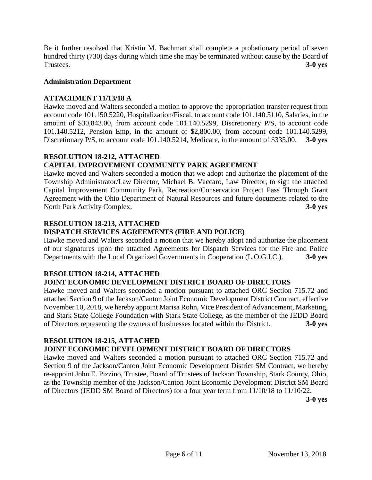Be it further resolved that Kristin M. Bachman shall complete a probationary period of seven hundred thirty (730) days during which time she may be terminated without cause by the Board of Trustees. **3-0 yes**

# **Administration Department**

# **ATTACHMENT 11/13/18 A**

Hawke moved and Walters seconded a motion to approve the appropriation transfer request from account code 101.150.5220, Hospitalization/Fiscal, to account code 101.140.5110, Salaries, in the amount of \$30,843.00, from account code 101.140.5299, Discretionary P/S, to account code 101.140.5212, Pension Emp, in the amount of \$2,800.00, from account code 101.140.5299, Discretionary P/S, to account code 101.140.5214, Medicare, in the amount of \$335.00. **3-0 yes**

# **RESOLUTION 18-212, ATTACHED CAPITAL IMPROVEMENT COMMUNITY PARK AGREEMENT**

Hawke moved and Walters seconded a motion that we adopt and authorize the placement of the Township Administrator/Law Director, Michael B. Vaccaro, Law Director, to sign the attached Capital Improvement Community Park, Recreation/Conservation Project Pass Through Grant Agreement with the Ohio Department of Natural Resources and future documents related to the North Park Activity Complex. **3-0 yes**

# **RESOLUTION 18-213, ATTACHED**

# **DISPATCH SERVICES AGREEMENTS (FIRE AND POLICE)**

Hawke moved and Walters seconded a motion that we hereby adopt and authorize the placement of our signatures upon the attached Agreements for Dispatch Services for the Fire and Police Departments with the Local Organized Governments in Cooperation (L.O.G.I.C.). **3-0 yes**

# **RESOLUTION 18-214, ATTACHED**

# **JOINT ECONOMIC DEVELOPMENT DISTRICT BOARD OF DIRECTORS**

Hawke moved and Walters seconded a motion pursuant to attached ORC Section 715.72 and attached Section 9 of the Jackson/Canton Joint Economic Development District Contract, effective November 10, 2018, we hereby appoint Marisa Rohn, Vice President of Advancement, Marketing, and Stark State College Foundation with Stark State College, as the member of the JEDD Board of Directors representing the owners of businesses located within the District. **3-0 yes**

# **RESOLUTION 18-215, ATTACHED**

# **JOINT ECONOMIC DEVELOPMENT DISTRICT BOARD OF DIRECTORS**

Hawke moved and Walters seconded a motion pursuant to attached ORC Section 715.72 and Section 9 of the Jackson/Canton Joint Economic Development District SM Contract, we hereby re-appoint John E. Pizzino, Trustee, Board of Trustees of Jackson Township, Stark County, Ohio, as the Township member of the Jackson/Canton Joint Economic Development District SM Board of Directors (JEDD SM Board of Directors) for a four year term from 11/10/18 to 11/10/22.

**3-0 yes**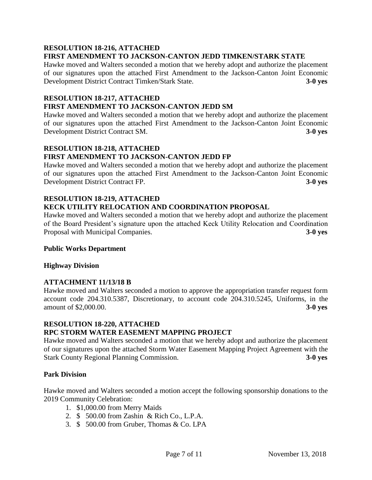#### **RESOLUTION 18-216, ATTACHED FIRST AMENDMENT TO JACKSON-CANTON JEDD TIMKEN/STARK STATE**

Hawke moved and Walters seconded a motion that we hereby adopt and authorize the placement of our signatures upon the attached First Amendment to the Jackson-Canton Joint Economic Development District Contract Timken/Stark State. **3-0 yes**

#### **RESOLUTION 18-217, ATTACHED FIRST AMENDMENT TO JACKSON-CANTON JEDD SM**

Hawke moved and Walters seconded a motion that we hereby adopt and authorize the placement of our signatures upon the attached First Amendment to the Jackson-Canton Joint Economic Development District Contract SM. **3-0 yes**

# **RESOLUTION 18-218, ATTACHED FIRST AMENDMENT TO JACKSON-CANTON JEDD FP**

Hawke moved and Walters seconded a motion that we hereby adopt and authorize the placement of our signatures upon the attached First Amendment to the Jackson-Canton Joint Economic Development District Contract FP. **3-0 yes**

# **RESOLUTION 18-219, ATTACHED KECK UTILITY RELOCATION AND COORDINATION PROPOSAL**

Hawke moved and Walters seconded a motion that we hereby adopt and authorize the placement of the Board President's signature upon the attached Keck Utility Relocation and Coordination Proposal with Municipal Companies. **3-0 yes**

# **Public Works Department**

# **Highway Division**

# **ATTACHMENT 11/13/18 B**

Hawke moved and Walters seconded a motion to approve the appropriation transfer request form account code 204.310.5387, Discretionary, to account code 204.310.5245, Uniforms, in the amount of \$2,000.00. **3-0 yes**

# **RESOLUTION 18-220, ATTACHED**

# **RPC STORM WATER EASEMENT MAPPING PROJECT**

Hawke moved and Walters seconded a motion that we hereby adopt and authorize the placement of our signatures upon the attached Storm Water Easement Mapping Project Agreement with the Stark County Regional Planning Commission. **3-0 yes**

# **Park Division**

Hawke moved and Walters seconded a motion accept the following sponsorship donations to the 2019 Community Celebration:

- 1. \$1,000.00 from Merry Maids
- 2. \$ 500.00 from Zashin & Rich Co., L.P.A.
- 3. \$ 500.00 from Gruber, Thomas & Co. LPA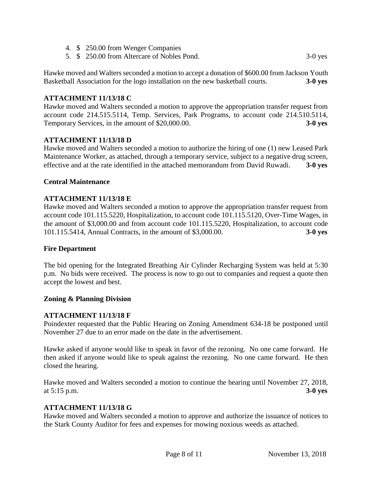- 4. \$ 250.00 from Wenger Companies
- 5. \$ 250.00 from Altercare of Nobles Pond. 3-0 yes

Hawke moved and Walters seconded a motion to accept a donation of \$600.00 from Jackson Youth Basketball Association for the logo installation on the new basketball courts. **3-0 yes**

## **ATTACHMENT 11/13/18 C**

Hawke moved and Walters seconded a motion to approve the appropriation transfer request from account code 214.515.5114, Temp. Services, Park Programs, to account code 214.510.5114, Temporary Services, in the amount of \$20,000.00. **3-0 yes**

### **ATTACHMENT 11/13/18 D**

Hawke moved and Walters seconded a motion to authorize the hiring of one (1) new Leased Park Maintenance Worker, as attached, through a temporary service, subject to a negative drug screen, effective and at the rate identified in the attached memorandum from David Ruwadi. **3-0 yes**

#### **Central Maintenance**

### **ATTACHMENT 11/13/18 E**

Hawke moved and Walters seconded a motion to approve the appropriation transfer request from account code 101.115.5220, Hospitalization, to account code 101.115.5120, Over-Time Wages, in the amount of \$3,000.00 and from account code 101.115.5220, Hospitalization, to account code 101.115.5414, Annual Contracts, in the amount of \$3,000.00. **3-0 yes**

### **Fire Department**

The bid opening for the Integrated Breathing Air Cylinder Recharging System was held at 5:30 p.m. No bids were received. The process is now to go out to companies and request a quote then accept the lowest and best.

### **Zoning & Planning Division**

### **ATTACHMENT 11/13/18 F**

Poindexter requested that the Public Hearing on Zoning Amendment 634-18 be postponed until November 27 due to an error made on the date in the advertisement.

Hawke asked if anyone would like to speak in favor of the rezoning. No one came forward. He then asked if anyone would like to speak against the rezoning. No one came forward. He then closed the hearing.

Hawke moved and Walters seconded a motion to continue the hearing until November 27, 2018, at 5:15 p.m. **3-0 yes**

### **ATTACHMENT 11/13/18 G**

Hawke moved and Walters seconded a motion to approve and authorize the issuance of notices to the Stark County Auditor for fees and expenses for mowing noxious weeds as attached.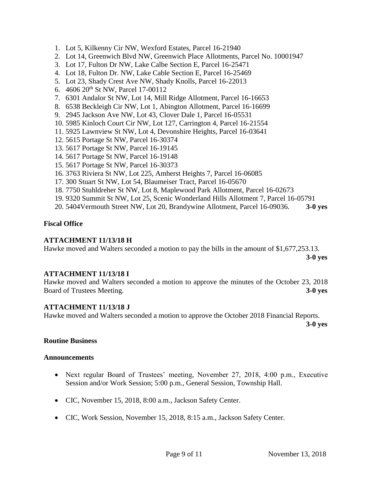- 1. Lot 5, Kilkenny Cir NW, Wexford Estates, Parcel 16-21940
- 2. Lot 14, Greenwich Blvd NW, Greenwich Place Allotments, Parcel No. 10001947
- 3. Lot 17, Fulton Dr NW, Lake Calbe Section E, Parcel 16-25471
- 4. Lot 18, Fulton Dr. NW, Lake Cable Section E, Parcel 16-25469
- 5. Lot 23, Shady Crest Ave NW, Shady Knolls, Parcel 16-22013
- 6. 4606 20<sup>th</sup> St NW, Parcel 17-00112
- 7. 6301 Andalor St NW, Lot 14, Mill Ridge Allotment, Parcel 16-16653
- 8. 6538 Beckleigh Cir NW, Lot 1, Abington Allotment, Parcel 16-16699
- 9. 2945 Jackson Ave NW, Lot 43, Clover Dale 1, Parcel 16-05531
- 10. 5985 Kinloch Court Cir NW, Lot 127, Carrington 4, Parcel 16-21554
- 11. 5925 Lawnview St NW, Lot 4, Devonshire Heights, Parcel 16-03641
- 12. 5615 Portage St NW, Parcel 16-30374
- 13. 5617 Portage St NW, Parcel 16-19145
- 14. 5617 Portage St NW, Parcel 16-19148
- 15. 5617 Portage St NW, Parcel 16-30373
- 16. 3763 Riviera St NW, Lot 225, Amherst Heights 7, Parcel 16-06085
- 17. 300 Stuart St NW, Lot 54, Blaumeiser Tract, Parcel 16-05670
- 18. 7750 Stuhldreher St NW, Lot 8, Maplewood Park Allotment, Parcel 16-02673
- 19. 9320 Summit St NW, Lot 25, Scenic Wonderland Hills Allotment 7, Parcel 16-05791
- 20. 5404Vermouth Street NW, Lot 20, Brandywine Allotment, Parcel 16-09036. **3-0 yes**

## **Fiscal Office**

### **ATTACHMENT 11/13/18 H**

Hawke moved and Walters seconded a motion to pay the bills in the amount of \$1,677,253.13.

**3-0 yes**

### **ATTACHMENT 11/13/18 I**

Hawke moved and Walters seconded a motion to approve the minutes of the October 23, 2018 Board of Trustees Meeting. **3-0 yes**

### **ATTACHMENT 11/13/18 J**

Hawke moved and Walters seconded a motion to approve the October 2018 Financial Reports.

**3-0 yes**

### **Routine Business**

#### **Announcements**

- Next regular Board of Trustees' meeting, November 27, 2018, 4:00 p.m., Executive Session and/or Work Session; 5:00 p.m., General Session, Township Hall.
- CIC, November 15, 2018, 8:00 a.m., Jackson Safety Center.
- CIC, Work Session, November 15, 2018, 8:15 a.m., Jackson Safety Center.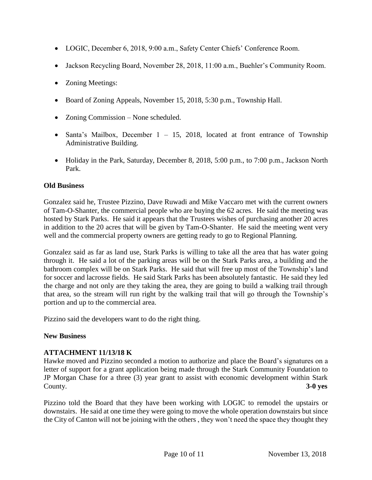- LOGIC, December 6, 2018, 9:00 a.m., Safety Center Chiefs' Conference Room.
- Jackson Recycling Board, November 28, 2018, 11:00 a.m., Buehler's Community Room.
- Zoning Meetings:
- Board of Zoning Appeals, November 15, 2018, 5:30 p.m., Township Hall.
- Zoning Commission None scheduled.
- Santa's Mailbox, December  $1 15$ , 2018, located at front entrance of Township Administrative Building.
- Holiday in the Park, Saturday, December 8, 2018, 5:00 p.m., to 7:00 p.m., Jackson North Park.

# **Old Business**

Gonzalez said he, Trustee Pizzino, Dave Ruwadi and Mike Vaccaro met with the current owners of Tam-O-Shanter, the commercial people who are buying the 62 acres. He said the meeting was hosted by Stark Parks. He said it appears that the Trustees wishes of purchasing another 20 acres in addition to the 20 acres that will be given by Tam-O-Shanter. He said the meeting went very well and the commercial property owners are getting ready to go to Regional Planning.

Gonzalez said as far as land use, Stark Parks is willing to take all the area that has water going through it. He said a lot of the parking areas will be on the Stark Parks area, a building and the bathroom complex will be on Stark Parks. He said that will free up most of the Township's land for soccer and lacrosse fields. He said Stark Parks has been absolutely fantastic. He said they led the charge and not only are they taking the area, they are going to build a walking trail through that area, so the stream will run right by the walking trail that will go through the Township's portion and up to the commercial area.

Pizzino said the developers want to do the right thing.

# **New Business**

# **ATTACHMENT 11/13/18 K**

Hawke moved and Pizzino seconded a motion to authorize and place the Board's signatures on a letter of support for a grant application being made through the Stark Community Foundation to JP Morgan Chase for a three (3) year grant to assist with economic development within Stark County. **3-0 yes**

Pizzino told the Board that they have been working with LOGIC to remodel the upstairs or downstairs. He said at one time they were going to move the whole operation downstairs but since the City of Canton will not be joining with the others , they won't need the space they thought they